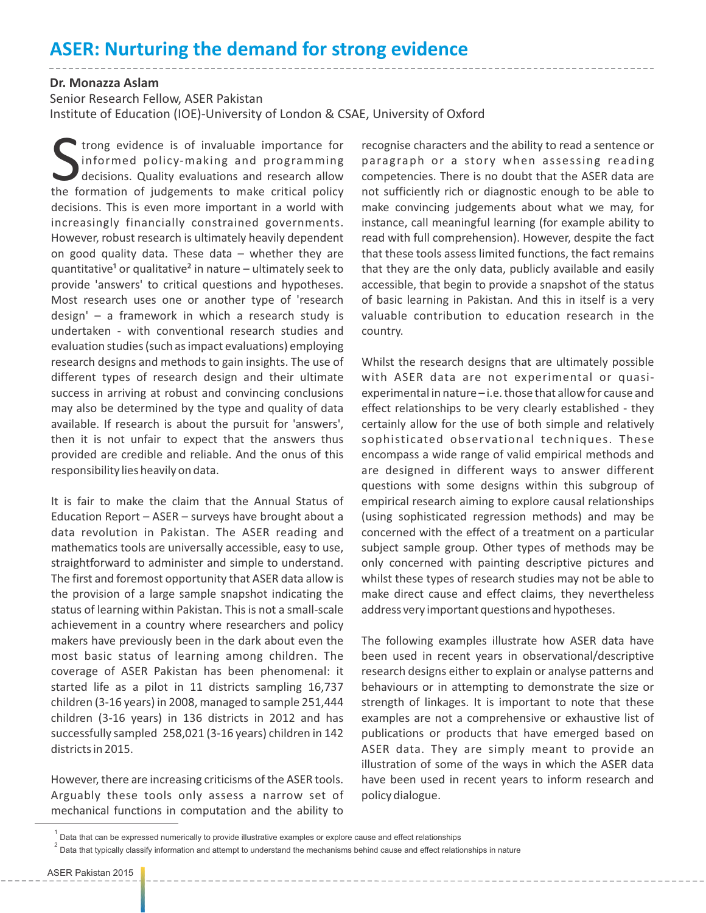## **ASER: Nurturing the demand for strong evidence**

## **Dr. Monazza Aslam**

Senior Research Fellow, ASER Pakistan

Institute of Education (IOE)-University of London & CSAE, University of Oxford

Trong evidence is of invaluable importance for<br>informed policy-making and programming<br>decisions. Quality evaluations and research allow<br>the formation of judgements to make critical policy informed policy-making and programming decisions. Quality evaluations and research allow the formation of judgements to make critical policy decisions. This is even more important in a world with increasingly financially constrained governments. However, robust research is ultimately heavily dependent on good quality data. These data – whether they are quantitative<sup>1</sup> or qualitative<sup>2</sup> in nature – ultimately seek to provide 'answers' to critical questions and hypotheses. Most research uses one or another type of 'research design' – a framework in which a research study is undertaken - with conventional research studies and evaluation studies (such as impact evaluations) employing research designs and methods to gain insights. The use of different types of research design and their ultimate success in arriving at robust and convincing conclusions may also be determined by the type and quality of data available. If research is about the pursuit for 'answers', then it is not unfair to expect that the answers thus provided are credible and reliable. And the onus of this responsibility lies heavily on data.

It is fair to make the claim that the Annual Status of Education Report – ASER – surveys have brought about a data revolution in Pakistan. The ASER reading and mathematics tools are universally accessible, easy to use, straightforward to administer and simple to understand. The first and foremost opportunity that ASER data allow is the provision of a large sample snapshot indicating the status of learning within Pakistan. This is not a small-scale achievement in a country where researchers and policy makers have previously been in the dark about even the most basic status of learning among children. The coverage of ASER Pakistan has been phenomenal: it started life as a pilot in 11 districts sampling 16,737 children (3-16 years) in 2008, managed to sample 251,444 children (3-16 years) in 136 districts in 2012 and has successfully sampled 258,021 (3-16 years) children in 142 districts in 2015.

However, there are increasing criticisms of the ASER tools. Arguably these tools only assess a narrow set of mechanical functions in computation and the ability to

recognise characters and the ability to read a sentence or paragraph or a story when assessing reading competencies. There is no doubt that the ASER data are not sufficiently rich or diagnostic enough to be able to make convincing judgements about what we may, for instance, call meaningful learning (for example ability to read with full comprehension). However, despite the fact that these tools assess limited functions, the fact remains that they are the only data, publicly available and easily accessible, that begin to provide a snapshot of the status of basic learning in Pakistan. And this in itself is a very valuable contribution to education research in the country.

Whilst the research designs that are ultimately possible with ASER data are not experimental or quasiexperimental in nature – i.e. those that allow for cause and effect relationships to be very clearly established - they certainly allow for the use of both simple and relatively sophisticated observational techniques. These encompass a wide range of valid empirical methods and are designed in different ways to answer different questions with some designs within this subgroup of empirical research aiming to explore causal relationships (using sophisticated regression methods) and may be concerned with the effect of a treatment on a particular subject sample group. Other types of methods may be only concerned with painting descriptive pictures and whilst these types of research studies may not be able to make direct cause and effect claims, they nevertheless address very important questions and hypotheses.

The following examples illustrate how ASER data have been used in recent years in observational/descriptive research designs either to explain or analyse patterns and behaviours or in attempting to demonstrate the size or strength of linkages. It is important to note that these examples are not a comprehensive or exhaustive list of publications or products that have emerged based on ASER data. They are simply meant to provide an illustration of some of the ways in which the ASER data have been used in recent years to inform research and policy dialogue.

 $^{\rm 1}$  Data that can be expressed numerically to provide illustrative examples or explore cause and effect relationships

 $^2$  Data that typically classify information and attempt to understand the mechanisms behind cause and effect relationships in nature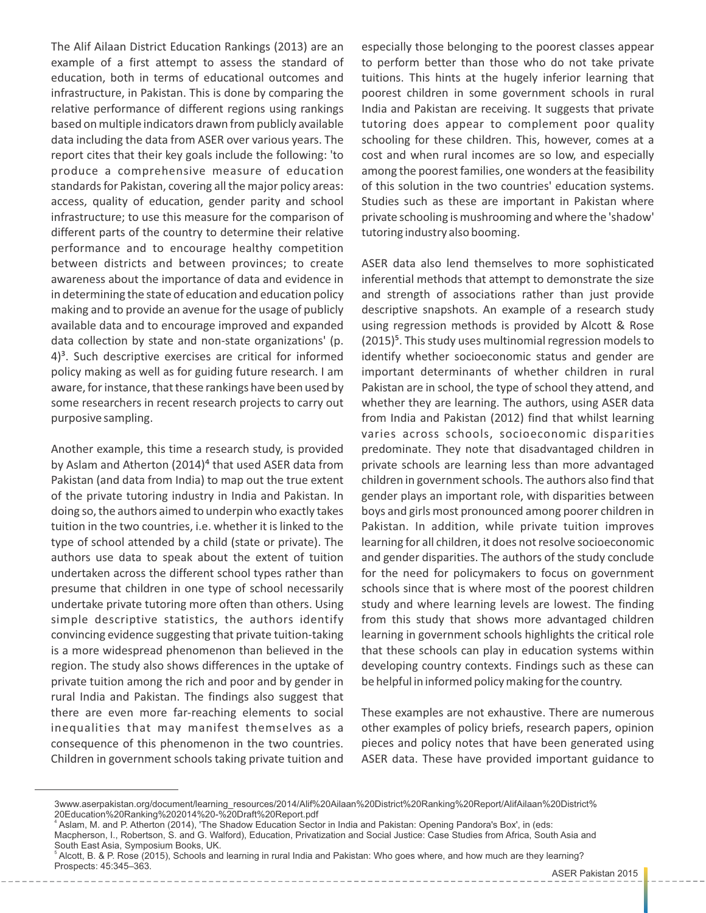The Alif Ailaan District Education Rankings (2013) are an example of a first attempt to assess the standard of education, both in terms of educational outcomes and infrastructure, in Pakistan. This is done by comparing the relative performance of different regions using rankings based on multiple indicators drawn from publicly available data including the data from ASER over various years. The report cites that their key goals include the following: 'to produce a comprehensive measure of education standards for Pakistan, covering all the major policy areas: access, quality of education, gender parity and school infrastructure; to use this measure for the comparison of different parts of the country to determine their relative performance and to encourage healthy competition between districts and between provinces; to create awareness about the importance of data and evidence in in determining the state of education and education policy making and to provide an avenue for the usage of publicly available data and to encourage improved and expanded data collection by state and non-state organizations' (p.  $4$ <sup>3</sup>. Such descriptive exercises are critical for informed policy making as well as for guiding future research. I am aware, for instance, that these rankings have been used by some researchers in recent research projects to carry out purposive sampling.

Another example, this time a research study, is provided by Aslam and Atherton (2014)<sup>4</sup> that used ASER data from Pakistan (and data from India) to map out the true extent of the private tutoring industry in India and Pakistan. In doing so, the authors aimed to underpin who exactly takes tuition in the two countries, i.e. whether it is linked to the type of school attended by a child (state or private). The authors use data to speak about the extent of tuition undertaken across the different school types rather than presume that children in one type of school necessarily undertake private tutoring more often than others. Using simple descriptive statistics, the authors identify convincing evidence suggesting that private tuition-taking is a more widespread phenomenon than believed in the region. The study also shows differences in the uptake of private tuition among the rich and poor and by gender in rural India and Pakistan. The findings also suggest that there are even more far-reaching elements to social inequalities that may manifest themselves as a consequence of this phenomenon in the two countries. Children in government schools taking private tuition and

especially those belonging to the poorest classes appear to perform better than those who do not take private tuitions. This hints at the hugely inferior learning that poorest children in some government schools in rural India and Pakistan are receiving. It suggests that private tutoring does appear to complement poor quality schooling for these children. This, however, comes at a cost and when rural incomes are so low, and especially among the poorest families, one wonders at the feasibility of this solution in the two countries' education systems. Studies such as these are important in Pakistan where private schooling is mushrooming and where the 'shadow' tutoring industry also booming.

ASER data also lend themselves to more sophisticated inferential methods that attempt to demonstrate the size and strength of associations rather than just provide descriptive snapshots. An example of a research study using regression methods is provided by Alcott & Rose (2015)<sup>5</sup>. This study uses multinomial regression models to identify whether socioeconomic status and gender are important determinants of whether children in rural Pakistan are in school, the type of school they attend, and whether they are learning. The authors, using ASER data from India and Pakistan (2012) find that whilst learning varies across schools, socioeconomic disparities predominate. They note that disadvantaged children in private schools are learning less than more advantaged children in government schools. The authors also find that gender plays an important role, with disparities between boys and girls most pronounced among poorer children in Pakistan. In addition, while private tuition improves learning for all children, it does not resolve socioeconomic and gender disparities. The authors of the study conclude for the need for policymakers to focus on government schools since that is where most of the poorest children study and where learning levels are lowest. The finding from this study that shows more advantaged children learning in government schools highlights the critical role that these schools can play in education systems within developing country contexts. Findings such as these can be helpful in informed policy making for the country.

These examples are not exhaustive. There are numerous other examples of policy briefs, research papers, opinion pieces and policy notes that have been generated using ASER data. These have provided important guidance to

<sup>3</sup>www.aserpakistan.org/document/learning\_resources/2014/Alif%20Ailaan%20District%20Ranking%20Report/AlifAilaan%20District% 20Education%20Ranking%202014%20-%20Draft%20Report.pdf

<sup>4</sup> Aslam, M. and P. Atherton (2014), 'The Shadow Education Sector in India and Pakistan: Opening Pandora's Box', in (eds:

Macpherson, I., Robertson, S. and G. Walford), Education, Privatization and Social Justice: Case Studies from Africa, South Asia and South East Asia, Symposium Books, UK.

<sup>&</sup>lt;sup>5</sup> Alcott, B. & P. Rose (2015), Schools and learning in rural India and Pakistan: Who goes where, and how much are they learning? Prospects: 45:345–363.